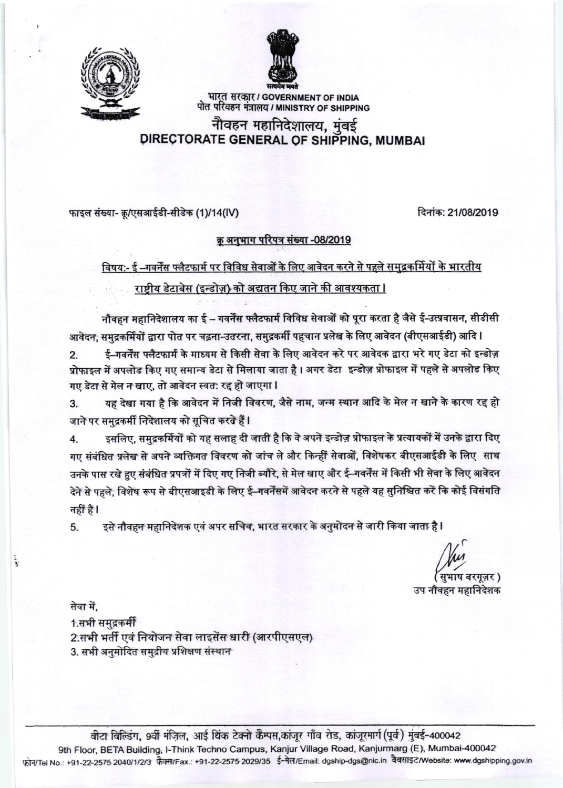



भारत सरकार / GOVERNMENT OF INDIA पोत परिवहन मंत्रालय / MINISTRY OF SHIPPING

# नौवहन महानिदेशालय, मुंबई DIRECTORATE GENERAL OF SHIPPING, MUMBAI

फाइल संख्या- क्रू/एसआईडी-सीडेक (1)/14(IV)

दिनांक: 21/08/2019

### क्रू अनुभाग परिपत्र संख्या -08/2019

विषय:- ई –गवर्नेंस फ्लैटफार्म पर विविध सेवाओं के लिए आवेदन करने से पहले समुद्रकर्मियों के भारतीय

## राष्टीय डेटाबेस (इन्डोज़) को अद्यतन किए जाने की आवश्यकता ।

नौवहन महानिदेशालय का ई – गवर्नेंस फ्लैटफार्म विविध सेवाओं को पूरा करता है जैसे ई-उत्प्रवासन, सीडीसी आवेदन, समुद्रकर्मियों द्वारा पोत पर चढ़ना-उतरना, समुद्रकर्मी पहचान प्रलेख के लिए आवेदन (बीएसआईडी) आदि l

ई–गवर्नेंस फ्लैटफार्म के माध्यम से किसी सेवा के लिए आवेदन करे पर आवेदक द्वारा भरे गए डेटा को इन्डोज़  $2.$ प्रोफाइल में अपलोड किए गए समान्य डेटा से मिलाया जाता है। अगर डेटा इन्डोज़ प्रोफाइल में पहले से अपलोड किए गए डेटा से मेल न खाए, तो आवेदन स्वत: रद्द हो जाएगा l

यह देखा गया है कि आवेदन में निजी विवरण, जैसे नाम, जन्म स्थान आदि के मेल न खाने के कारण रद्द हो 3. जाने पर समुद्रकर्मी निदेशालय को सूचित करते हैं l

इसलिए, समुद्रकर्मियों को यह सलाह दी जाती है कि वे अपने इन्डोज़ प्रोफाइल के प्रत्यायकों में उनके द्वारा दिए  $\overline{4}$ गए संबंधित प्रलेख से अपने व्यक्तिगत विवरण को जांच ले और किन्हीं सेवाओं, विशेषकर बीएसआईडी के लिए साथ उनके पास रखे हुए संबंधित प्रपत्रों में दिए गए निजी ब्यौरे, से मेल खाए और ई–गवर्नेंस में किसी भी सेवा के लिए आवेदन देने से पहले, विशेष रूप से बीएसआइडी के लिए ई–गवर्नेंसमें आवेदन करने से पहले यह सुनिश्चित करें कि कोई विसंगति नहीं है।

इसे नौवहन महानिदेशक एवं अपर सचिव, भारत सरकार के अनुमोदन से जारी किया जाता है I 5.

पुभाष बरगूज़र )

उप नौवहन महानिदेशक

सेवा में.

医子

1.सभी समद्रकर्मी 2.सभी भर्ती एवं नियोजन सेवा लाइसेंस धारी (आरपीएसएल) 3. सभी अनुमोदित समुद्रीय प्रशिक्षण संस्थान

वीटा विल्डिंग, 9वीं मंजिल, आई थिंक टेक्नो कैम्पस,कांजूर गाँव रोड, कांजूरमार्ग(पूर्व) मुंबई-400042 9th Floor, BETA Building, I-Think Techno Campus, Kanjur Village Road, Kanjurmarg (E), Mumbai-400042 फोन/Tel No.: +91-22-2575 2040/1/2/3 फ़ैक्स/Fax.: +91-22-2575 2029/35 ई-मेल/Email: dgship-dgs@nic.in वैबसाइट/Website: www.dgshipping.gov.in